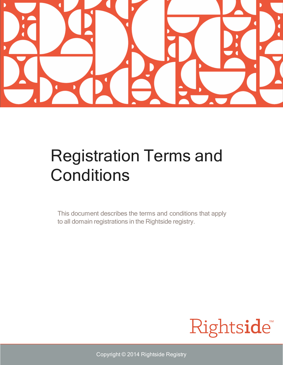

## Registration Terms and **Conditions**

This document describes the terms and conditions that apply to all domain registrations in the Rightside registry.



Copyright © 2014 Rightside Registry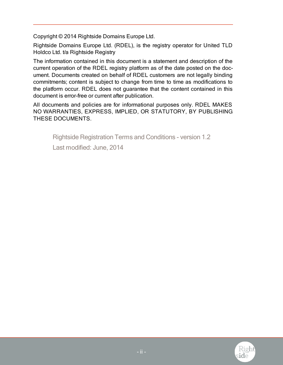Copyright © 2014 Rightside Domains Europe Ltd.

Rightside Domains Europe Ltd. (RDEL), is the registry operator for United TLD Holdco Ltd. t/a Rightside Registry

The information contained in this document is a statement and description of the current operation of the RDEL registry platform as of the date posted on the document. Documents created on behalf of RDEL customers are not legally binding commitments; content is subject to change from time to time as modifications to the platform occur. RDEL does not guarantee that the content contained in this document is error-free or current after publication.

All documents and policies are for informational purposes only. RDEL MAKES NO WARRANTIES, EXPRESS, IMPLIED, OR STATUTORY, BY PUBLISHING THESE DOCUMENTS.

Rightside Registration Terms and Conditions - version 1.2

Last modified: June, 2014

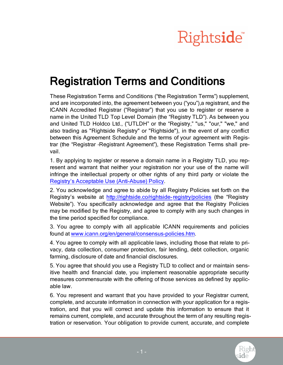

## Registration Terms and Conditions

These Registration Terms and Conditions ("the Registration Terms") supplement, and are incorporated into, the agreement between you ("you"),a registrant, and the ICANN Accredited Registrar ("Registrar") that you use to register or reserve a name in the United TLD Top Level Domain (the "Registry TLD"). As between you and United TLD Holdco Ltd., ("UTLDH" or the "Registry," "us," "our," "we," and also trading as "Rightside Registry" or "Rightside"), in the event of any conflict between this Agreement Schedule and the terms of your agreement with Registrar (the "Registrar‐Registrant Agreement"), these Registration Terms shall prevail.

1. By applying to register or reserve a domain name in a Registry TLD, you represent and warrant that neither your registration nor your use of the name will infringe the intellectual property or other rights of any third party or violate the Registry's Acceptable Use [\(Anti-Abuse\)](http://rightside.co/policies/Rightside_Acceptable_Use_Policy.pdf) Policy.

2. You acknowledge and agree to abide by all Registry Policies set forth on the Registry's website at <http://rightside.co/rightside-registry/policies> (the "Registry Website"). You specifically acknowledge and agree that the Registry Policies may be modified by the Registry, and agree to comply with any such changes in the time period specified for compliance.

3. You agree to comply with all applicable ICANN requirements and policies found at [www.icann.org/en/general/consensus-policies.htm.](http://www.icann.org/en/general/consensus-policies.htm)

4. You agree to comply with all applicable laws, including those that relate to privacy, data collection, consumer protection, fair lending, debt collection, organic farming, disclosure of date and financial disclosures.

5. You agree that should you use a Registry TLD to collect and or maintain sensitive health and financial date, you implement reasonable appropriate security measures commensurate with the offering of those services as defined by applicable law.

6. You represent and warrant that you have provided to your Registrar current, complete, and accurate information in connection with your application for a registration, and that you will correct and update this information to ensure that it remains current, complete, and accurate throughout the term of any resulting registration or reservation. Your obligation to provide current, accurate, and complete

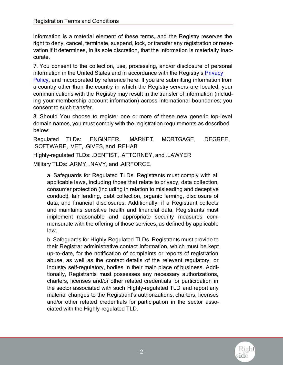information is a material element of these terms, and the Registry reserves the right to deny, cancel, terminate, suspend, lock, or transfer any registration or reservation if it determines, in its sole discretion, that the information is materially inaccurate.

7. You consent to the collection, use, processing, and/or disclosure of personal information in the United States and in accordance with the Registry's [Privacy](http://rightside.co/policies/Rightside_Privacy_Policy.pdf) [Policy](http://rightside.co/policies/Rightside_Privacy_Policy.pdf), and incorporated by reference here. If you are submitting information from a country other than the country in which the Registry servers are located, your communications with the Registry may result in the transfer of information (including your membership account information) across international boundaries; you consent to such transfer.

8. Should You choose to register one or more of these new generic top-level domain names, you must comply with the registration requirements as described below:

Regulated TLDs: .ENGINEER, .MARKET, MORTGAGE, .DEGREE, .SOFTWARE, .VET, .GIVES, and .REHAB

Highly-regulated TLDs: .DENTIST, .ATTORNEY, and .LAWYER Military TLDs: .ARMY, .NAVY, and .AIRFORCE.

a. Safeguards for Regulated TLDs. Registrants must comply with all applicable laws, including those that relate to privacy, data collection, consumer protection (including in relation to misleading and deceptive conduct), fair lending, debt collection, organic farming, disclosure of data, and financial disclosures. Additionally, if a Registrant collects and maintains sensitive health and financial data, Registrants must implement reasonable and appropriate security measures commensurate with the offering of those services, as defined by applicable law.

b. Safeguards for Highly-Regulated TLDs. Registrants must provide to their Registrar administrative contact information, which must be kept up-to-date, for the notification of complaints or reports of registration abuse, as well as the contact details of the relevant regulatory, or industry self-regulatory, bodies in their main place of business. Additionally, Registrants must possesses any necessary authorizations, charters, licenses and/or other related credentials for participation in the sector associated with such Highly-regulated TLD and report any material changes to the Registrant's authorizations, charters, licenses and/or other related credentials for participation in the sector associated with the Highly-regulated TLD.

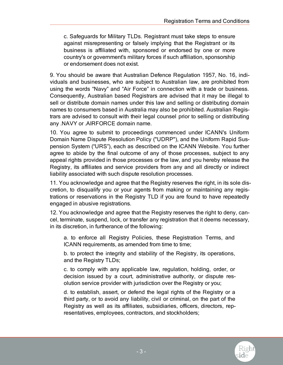c. Safeguards for Military TLDs. Registrant must take steps to ensure against misrepresenting or falsely implying that the Registrant or its business is affiliated with, sponsored or endorsed by one or more country's or government's military forces if such affiliation, sponsorship or endorsement does not exist.

9. You should be aware that Australian Defence Regulation 1957, No. 16, individuals and businesses, who are subject to Australian law, are prohibited from using the words "Navy" and "Air Force" in connection with a trade or business. Consequently, Australian based Registrars are advised that it may be illegal to sell or distribute domain names under this law and selling or distributing domain names to consumers based in Australia may also be prohibited. Australian Registrars are advised to consult with their legal counsel prior to selling or distributing any .NAVY or .AIRFORCE domain name.

10. You agree to submit to proceedings commenced under ICANN's Uniform Domain Name Dispute Resolution Policy ("UDRP"), and the Uniform Rapid Suspension System ("URS"), each as described on the ICANN Website. You further agree to abide by the final outcome of any of those processes, subject to any appeal rights provided in those processes or the law, and you hereby release the Registry, its affiliates and service providers from any and all directly or indirect liability associated with such dispute resolution processes.

11. You acknowledge and agree that the Registry reserves the right, in its sole discretion, to disqualify you or your agents from making or maintaining any registrations or reservations in the Registry TLD if you are found to have repeatedly engaged in abusive registrations.

12. You acknowledge and agree that the Registry reserves the right to deny, cancel, terminate, suspend, lock, or transfer any registration that it deems necessary, in its discretion, in furtherance of the following:

a. to enforce all Registry Policies, these Registration Terms, and ICANN requirements, as amended from time to time;

b. to protect the integrity and stability of the Registry, its operations, and the Registry TLDs;

c. to comply with any applicable law, regulation, holding, order, or decision issued by a court, administrative authority, or dispute resolution service provider with jurisdiction over the Registry or you;

d. to establish, assert, or defend the legal rights of the Registry or a third party, or to avoid any liability, civil or criminal, on the part of the Registry as well as its affiliates, subsidiaries, officers, directors, representatives, employees, contractors, and stockholders;

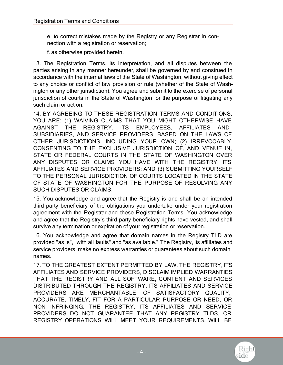e. to correct mistakes made by the Registry or any Registrar in connection with a registration or reservation;

f. as otherwise provided herein.

13. The Registration Terms, its interpretation, and all disputes between the parties arising in any manner hereunder, shall be governed by and construed in accordance with the internal laws of the State of Washington, without giving effect to any choice or conflict of law provision or rule (whether of the State of Washington or any other jurisdiction). You agree and submit to the exercise of personal jurisdiction of courts in the State of Washington for the purpose of litigating any such claim or action.

14. BY AGREEING TO THESE REGISTRATION TERMS AND CONDITIONS, YOU ARE: (1) WAIVING CLAIMS THAT YOU MIGHT OTHERWISE HAVE AGAINST THE REGISTRY, ITS EMPLOYEES, AFFILIATES AND SUBSIDIARIES, AND SERVICE PROVIDERS, BASED ON THE LAWS OF OTHER JURISDICTIONS, INCLUDING YOUR OWN; (2) IRREVOCABLY CONSENTING TO THE EXCLUSIVE JURISDICTION OF, AND VENUE IN, STATE OR FEDERAL COURTS IN THE STATE OF WASHINGTON OVER ANY DISPUTES OR CLAIMS YOU HAVE WITH THE REGISTRY, ITS AFFILIATES AND SERVICE PROVIDERS; AND (3) SUBMITTING YOURSELF TO THE PERSONAL JURISDICTION OF COURTS LOCATED IN THE STATE OF STATE OF WASHINGTON FOR THE PURPOSE OF RESOLVING ANY SUCH DISPUTES OR CLAIMS.

15. You acknowledge and agree that the Registry is and shall be an intended third party beneficiary of the obligations you undertake under your registration agreement with the Registrar and these Registration Terms. You acknowledge and agree that the Registry's third party beneficiary rights have vested, and shall survive any termination or expiration of your registration or reservation.

16. You acknowledge and agree that domain names in the Registry TLD are provided "as is", "with all faults" and "as available." The Registry, its affiliates and service providers, make no express warranties or guarantees about such domain names.

17. TO THE GREATEST EXTENT PERMITTED BY LAW, THE REGISTRY, ITS AFFILIATES AND SERVICE PROVIDERS, DISCLAIM IMPLIED WARRANTIES THAT THE REGISTRY AND ALL SOFTWARE, CONTENT AND SERVICES DISTRIBUTED THROUGH THE REGISTRY, ITS AFFILIATES AND SERVICE PROVIDERS ARE MERCHANTABLE, OF SATISFACTORY QUALITY, ACCURATE, TIMELY, FIT FOR A PARTICULAR PURPOSE OR NEED, OR NON‐INFRINGING. THE REGISTRY, ITS AFFILIATES AND SERVICE PROVIDERS DO NOT GUARANTEE THAT ANY REGISTRY TLDS, OR REGISTRY OPERATIONS WILL MEET YOUR REQUIREMENTS, WILL BE

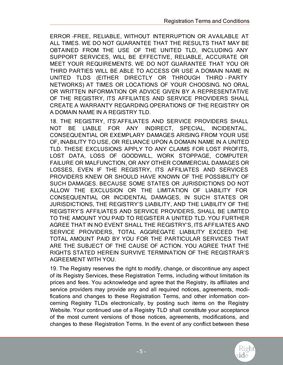ERROR‐FREE, RELIABLE, WITHOUT INTERRUPTION OR AVAILABLE AT ALL TIMES. WE DO NOT GUARANTEE THAT THE RESULTS THAT MAY BE OBTAINED FROM THE USE OF THE UNITED TLD, INCLUDING ANY SUPPORT SERVICES, WILL BE EFFECTIVE, RELIABLE, ACCURATE OR MEET YOUR REQUIREMENTS. WE DO NOT GUARANTEE THAT YOU OR THIRD PARTIES WILL BE ABLE TO ACCESS OR USE A DOMAIN NAME IN UNITED TLDS (EITHER DIRECTLY OR THROUGH THIRD‐PARTY NETWORKS) AT TIMES OR LOCATIONS OF YOUR CHOOSING. NO ORAL OR WRITTEN INFORMATION OR ADVICE GIVEN BY A REPRESENTATIVE OF THE REGISTRY, ITS AFFILIATES AND SERVICE PROVIDERS SHALL CREATE A WARRANTY REGARDING OPERATIONS OF THE REGISTRY OR A DOMAIN NAME IN A REGISTRY TLD.

18. THE REGISTRY, ITS'AFFILIATES AND SERVICE PROVIDERS SHALL NOT BE LIABLE FOR ANY INDIRECT, SPECIAL, INCIDENTAL, CONSEQUENTIAL OR EXEMPLARY DAMAGES ARISING FROM YOUR USE OF, INABILITY TO USE, OR RELIANCE UPON A DOMAIN NAME IN A UNITED TLD. THESE EXCLUSIONS APPLY TO ANY CLAIMS FOR LOST PROFITS, LOST DATA, LOSS OF GOODWILL, WORK STOPPAGE, COMPUTER FAILURE OR MALFUNCTION, OR ANY OTHER COMMERCIAL DAMAGES OR LOSSES, EVEN IF THE REGISTRY, ITS AFFILIATES AND SERVICES PROVIDERS KNEW OR SHOULD HAVE KNOWN OF THE POSSIBILITY OF SUCH DAMAGES. BECAUSE SOME STATES OR JURISDICTIONS DO NOT ALLOW THE EXCLUSION OR THE LIMITATION OF LIABILITY FOR CONSEQUENTIAL OR INCIDENTAL DAMAGES, IN SUCH STATES OR JURISDICTIONS, THE REGISTRY'S LIABILITY, AND THE LIABILITY OF THE REGISTRY'S AFFILIATES AND SERVICE PROVIDERS, SHALL BE LIMITED TO THE AMOUNT YOU PAID TO REGISTER A UNITED TLD. YOU FURTHER AGREE THAT IN NO EVENT SHALL THE REGISTRY'S, ITS AFFILIATES AND SERVICE PROVIDERS, TOTAL AGGREGATE LIABILITY EXCEED THE TOTAL AMOUNT PAID BY YOU FOR THE PARTICULAR SERVICES THAT ARE THE SUBJECT OF THE CAUSE OF ACTION. YOU AGREE THAT THE RIGHTS STATED HEREIN SURVIVE TERMINATION OF THE REGISTRAR'S AGREEMENT WITH YOU.

19. The Registry reserves the right to modify, change, or discontinue any aspect of its Registry Services, these Registration Terms, including without limitation its prices and fees. You acknowledge and agree that the Registry, its affiliates and service providers may provide any and all required notices, agreements, modifications and changes to these Registration Terms, and other information concerning Registry TLDs electronically, by posting such items on the Registry Website. Your continued use of a Registry TLD shall constitute your acceptance of the most current versions of those notices, agreements, modifications, and changes to these Registration Terms. In the event of any conflict between these